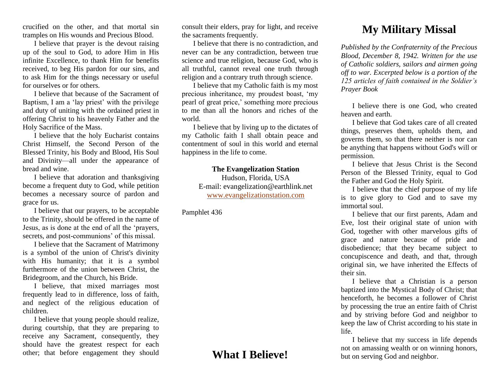crucified on the other, and that mortal sin tramples on His wounds and Precious Blood.

I believe that prayer is the devout raising up of the soul to God, to adore Him in His infinite Excellence, to thank Him for benefits received, to beg His pardon for our sins, and to ask Him for the things necessary or useful for ourselves or for others.

I believe that because of the Sacrament of Baptism, I am a 'lay priest' with the privilege and duty of uniting with the ordained priest in offering Christ to his heavenly Father and the Holy Sacrifice of the Mass.

I believe that the holy Eucharist contains Christ Himself, the Second Person of the Blessed Trinity, his Body and Blood, His Soul and Divinity—all under the appearance of bread and wine.

I believe that adoration and thanksgiving become a frequent duty to God, while petition becomes a necessary source of pardon and grace for us.

I believe that our prayers, to be acceptable to the Trinity, should be offered in the name of Jesus, as is done at the end of all the 'prayers, secrets, and post-communions' of this missal.

I believe that the Sacrament of Matrimony is a symbol of the union of Christ's divinity with His humanity; that it is a symbol furthermore of the union between Christ, the Bridegroom, and the Church, his Bride.

I believe, that mixed marriages most frequently lead to in difference, loss of faith, and neglect of the religious education of children.

I believe that young people should realize, during courtship, that they are preparing to receive any Sacrament, consequently, they should have the greatest respect for each other; that before engagement they should consult their elders, pray for light, and receive the sacraments frequently.

I believe that there is no contradiction, and never can be any contradiction, between true science and true religion, because God, who is all truthful, cannot reveal one truth through religion and a contrary truth through science.

I believe that my Catholic faith is my most precious inheritance, my proudest boast, 'my pearl of great price,' something more precious to me than all the honors and riches of the world.

I believe that by living up to the dictates of my Catholic faith I shall obtain peace and contentment of soul in this world and eternal happiness in the life to come.

## **The Evangelization Station**

Hudson, Florida, USA E-mail: evangelization@earthlink.net [www.evangelizationstation.com](http://www.pjpiisoe.org/)

Pamphlet 436

## **What I Believe!**

## **My Military Missal**

*Published by the Confraternity of the Precious Blood, December 8, 1942. Written for the use of Catholic soldiers, sailors and airmen going off to war. Excerpted below is a portion of the 125 articles of faith contained in the Soldier's Prayer Book*

I believe there is one God, who created heaven and earth.

I believe that God takes care of all created things, preserves them, upholds them, and governs them, so that there neither is nor can be anything that happens without God's will or permission.

I believe that Jesus Christ is the Second Person of the Blessed Trinity, equal to God the Father and God the Holy Spirit.

I believe that the chief purpose of my life is to give glory to God and to save my immortal soul.

I believe that our first parents, Adam and Eve, lost their original state of union with God, together with other marvelous gifts of grace and nature because of pride and disobedience; that they became subject to concupiscence and death, and that, through original sin, we have inherited the Effects of their sin.

I believe that a Christian is a person baptized into the Mystical Body of Christ; that henceforth, he becomes a follower of Christ by processing the true an entire faith of Christ and by striving before God and neighbor to keep the law of Christ according to his state in life.

I believe that my success in life depends not on amassing wealth or on winning honors, but on serving God and neighbor.